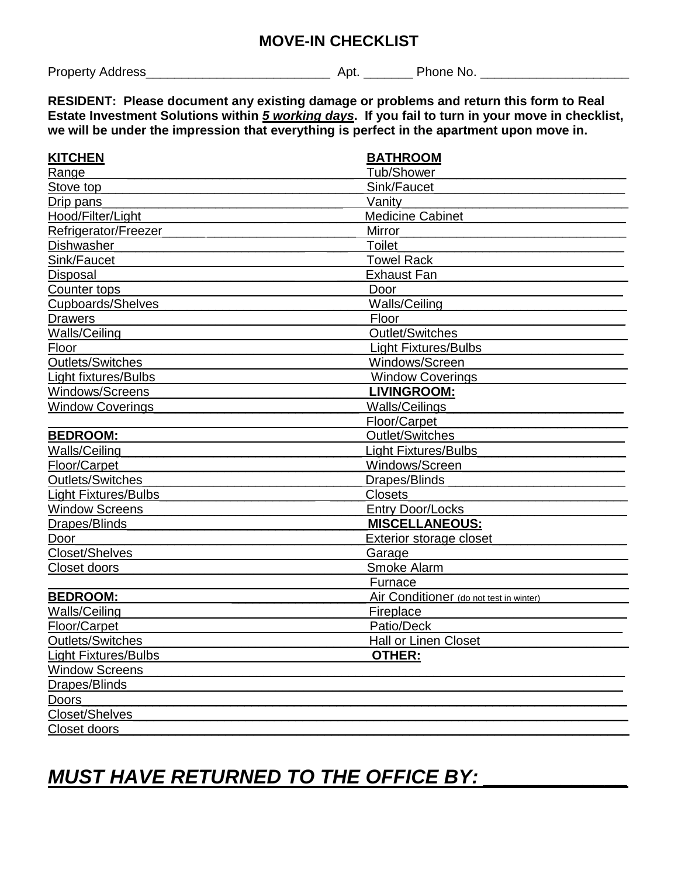## **MOVE-IN CHECKLIST**

Property Address\_\_\_\_\_\_\_\_\_\_\_\_\_\_\_\_\_\_\_\_\_\_\_\_\_\_ Apt. \_\_\_\_\_\_\_ Phone No. \_\_\_\_\_\_\_\_\_\_\_\_\_\_\_\_\_\_\_\_\_

**RESIDENT: Please document any existing damage or problems and return this form to Real Estate Investment Solutions within 5 working days. If you fail to turn in your move in checklist, we will be under the impression that everything is perfect in the apartment upon move in.** 

| <b>KITCHEN</b>              | <b>BATHROOM</b>                         |
|-----------------------------|-----------------------------------------|
| Range                       | Tub/Shower                              |
| Stove top                   | Sink/Faucet                             |
| Drip pans                   | Vanity                                  |
| Hood/Filter/Light           | <b>Medicine Cabinet</b>                 |
| Refrigerator/Freezer        | Mirror                                  |
| Dishwasher                  | <b>Toilet</b>                           |
| Sink/Faucet                 | <b>Towel Rack</b>                       |
| <b>Disposal</b>             | <b>Exhaust Fan</b>                      |
| Counter tops                | Door                                    |
| Cupboards/Shelves           | <b>Walls/Ceiling</b>                    |
| <b>Drawers</b>              | Floor                                   |
| <b>Walls/Ceiling</b>        | Outlet/Switches                         |
| Floor                       | <b>Light Fixtures/Bulbs</b>             |
| Outlets/Switches            | Windows/Screen                          |
| Light fixtures/Bulbs        | <b>Window Coverings</b>                 |
| Windows/Screens             | <b>LIVINGROOM:</b>                      |
| <b>Window Coverings</b>     | <b>Walls/Ceilings</b>                   |
|                             | Floor/Carpet                            |
| <b>BEDROOM:</b>             | <b>Outlet/Switches</b>                  |
| Walls/Ceiling               | <b>Light Fixtures/Bulbs</b>             |
| Floor/Carpet                | Windows/Screen                          |
| <b>Outlets/Switches</b>     | Drapes/Blinds                           |
| <b>Light Fixtures/Bulbs</b> | <b>Closets</b>                          |
| <b>Window Screens</b>       | Entry Door/Locks                        |
| Drapes/Blinds               | <b>MISCELLANEOUS:</b>                   |
| Door                        | Exterior storage closet                 |
| Closet/Shelves              | Garage                                  |
| Closet doors                | <b>Smoke Alarm</b>                      |
|                             | Furnace                                 |
| <b>BEDROOM:</b>             | Air Conditioner (do not test in winter) |
| <b>Walls/Ceiling</b>        | Fireplace                               |
| Floor/Carpet                | Patio/Deck                              |
| <b>Outlets/Switches</b>     | <b>Hall or Linen Closet</b>             |
| <b>Light Fixtures/Bulbs</b> | OTHER:                                  |
| <b>Window Screens</b>       |                                         |
| Drapes/Blinds               |                                         |
| Doors                       |                                         |
| Closet/Shelves              |                                         |
| Closet doors                |                                         |

## **MUST HAVE RETURNED TO THE OFFICE BY: \_\_\_\_\_\_\_\_\_\_\_\_\_**